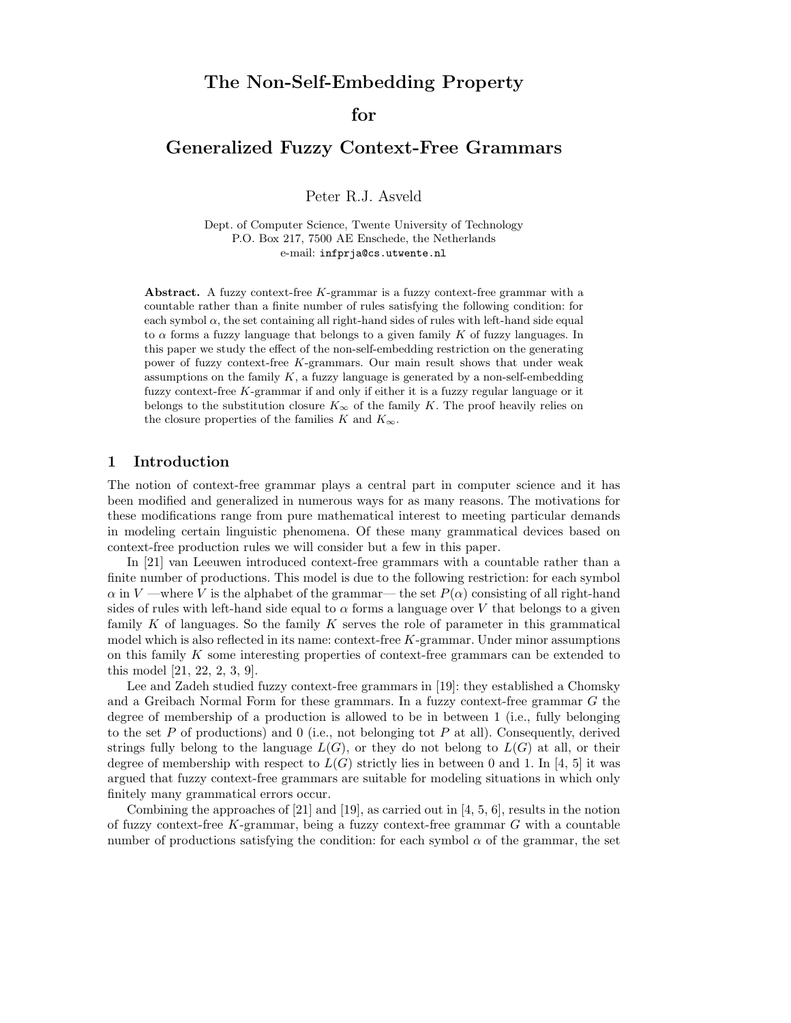## for

# Generalized Fuzzy Context-Free Grammars

Peter R.J. Asveld

Dept. of Computer Science, Twente University of Technology P.O. Box 217, 7500 AE Enschede, the Netherlands e-mail: infprja@cs.utwente.nl

Abstract. A fuzzy context-free K-grammar is a fuzzy context-free grammar with a countable rather than a finite number of rules satisfying the following condition: for each symbol  $\alpha$ , the set containing all right-hand sides of rules with left-hand side equal to  $\alpha$  forms a fuzzy language that belongs to a given family K of fuzzy languages. In this paper we study the effect of the non-self-embedding restriction on the generating power of fuzzy context-free K-grammars. Our main result shows that under weak assumptions on the family  $K$ , a fuzzy language is generated by a non-self-embedding fuzzy context-free K-grammar if and only if either it is a fuzzy regular language or it belongs to the substitution closure  $K_{\infty}$  of the family K. The proof heavily relies on the closure properties of the families K and  $K_{\infty}$ .

## 1 Introduction

The notion of context-free grammar plays a central part in computer science and it has been modified and generalized in numerous ways for as many reasons. The motivations for these modifications range from pure mathematical interest to meeting particular demands in modeling certain linguistic phenomena. Of these many grammatical devices based on context-free production rules we will consider but a few in this paper.

In [21] van Leeuwen introduced context-free grammars with a countable rather than a finite number of productions. This model is due to the following restriction: for each symbol  $\alpha$  in V —where V is the alphabet of the grammar— the set  $P(\alpha)$  consisting of all right-hand sides of rules with left-hand side equal to  $\alpha$  forms a language over V that belongs to a given family  $K$  of languages. So the family  $K$  serves the role of parameter in this grammatical model which is also reflected in its name: context-free K-grammar. Under minor assumptions on this family K some interesting properties of context-free grammars can be extended to this model [21, 22, 2, 3, 9].

Lee and Zadeh studied fuzzy context-free grammars in [19]: they established a Chomsky and a Greibach Normal Form for these grammars. In a fuzzy context-free grammar G the degree of membership of a production is allowed to be in between 1 (i.e., fully belonging to the set P of productions) and 0 (i.e., not belonging tot P at all). Consequently, derived strings fully belong to the language  $L(G)$ , or they do not belong to  $L(G)$  at all, or their degree of membership with respect to  $L(G)$  strictly lies in between 0 and 1. In [4, 5] it was argued that fuzzy context-free grammars are suitable for modeling situations in which only finitely many grammatical errors occur.

Combining the approaches of  $[21]$  and  $[19]$ , as carried out in  $[4, 5, 6]$ , results in the notion of fuzzy context-free  $K$ -grammar, being a fuzzy context-free grammar  $G$  with a countable number of productions satisfying the condition: for each symbol  $\alpha$  of the grammar, the set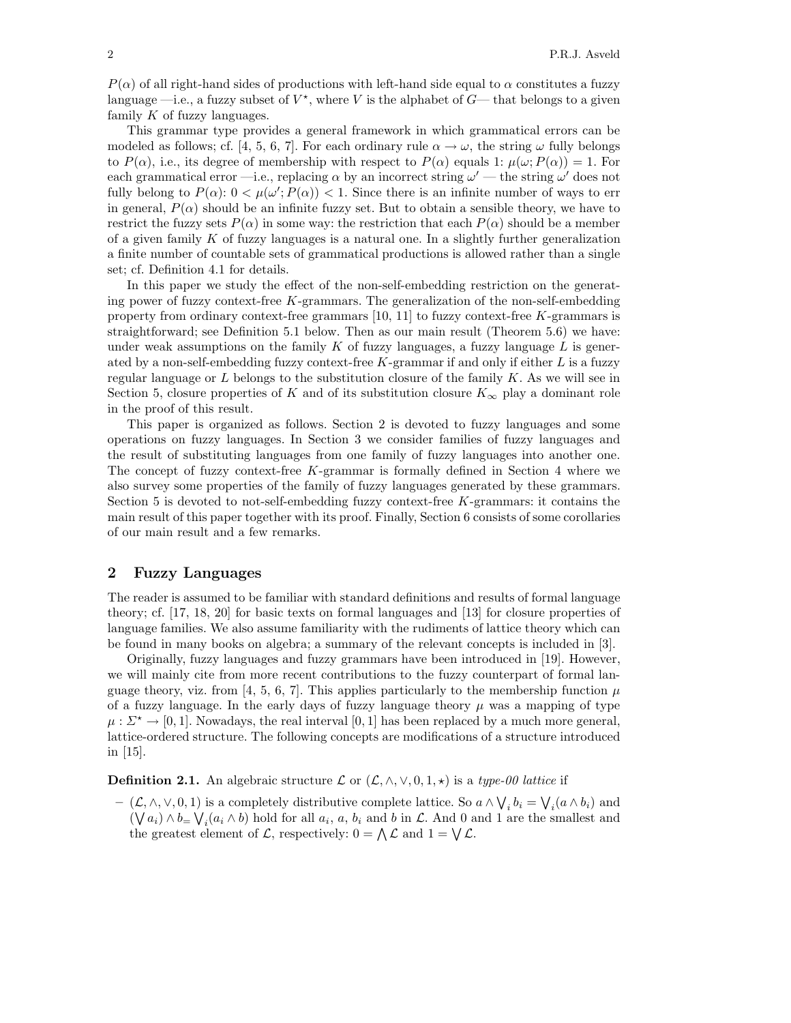$P(\alpha)$  of all right-hand sides of productions with left-hand side equal to  $\alpha$  constitutes a fuzzy language  $\rightarrow$  i.e., a fuzzy subset of  $V^*$ , where V is the alphabet of  $G$ — that belongs to a given family  $K$  of fuzzy languages.

This grammar type provides a general framework in which grammatical errors can be modeled as follows; cf. [4, 5, 6, 7]. For each ordinary rule  $\alpha \to \omega$ , the string  $\omega$  fully belongs to  $P(\alpha)$ , i.e., its degree of membership with respect to  $P(\alpha)$  equals 1:  $\mu(\omega; P(\alpha)) = 1$ . For each grammatical error —i.e., replacing  $\alpha$  by an incorrect string  $\omega'$  — the string  $\omega'$  does not fully belong to  $P(\alpha)$ :  $0 < \mu(\omega'; P(\alpha)) < 1$ . Since there is an infinite number of ways to err in general,  $P(\alpha)$  should be an infinite fuzzy set. But to obtain a sensible theory, we have to restrict the fuzzy sets  $P(\alpha)$  in some way: the restriction that each  $P(\alpha)$  should be a member of a given family  $K$  of fuzzy languages is a natural one. In a slightly further generalization a finite number of countable sets of grammatical productions is allowed rather than a single set; cf. Definition 4.1 for details.

In this paper we study the effect of the non-self-embedding restriction on the generating power of fuzzy context-free  $K$ -grammars. The generalization of the non-self-embedding property from ordinary context-free grammars  $[10, 11]$  to fuzzy context-free K-grammars is straightforward; see Definition 5.1 below. Then as our main result (Theorem 5.6) we have: under weak assumptions on the family  $K$  of fuzzy languages, a fuzzy language  $L$  is generated by a non-self-embedding fuzzy context-free  $K$ -grammar if and only if either  $L$  is a fuzzy regular language or  $L$  belongs to the substitution closure of the family  $K$ . As we will see in Section 5, closure properties of K and of its substitution closure  $K_{\infty}$  play a dominant role in the proof of this result.

This paper is organized as follows. Section 2 is devoted to fuzzy languages and some operations on fuzzy languages. In Section 3 we consider families of fuzzy languages and the result of substituting languages from one family of fuzzy languages into another one. The concept of fuzzy context-free K-grammar is formally defined in Section 4 where we also survey some properties of the family of fuzzy languages generated by these grammars. Section 5 is devoted to not-self-embedding fuzzy context-free K-grammars: it contains the main result of this paper together with its proof. Finally, Section 6 consists of some corollaries of our main result and a few remarks.

### 2 Fuzzy Languages

The reader is assumed to be familiar with standard definitions and results of formal language theory; cf. [17, 18, 20] for basic texts on formal languages and [13] for closure properties of language families. We also assume familiarity with the rudiments of lattice theory which can be found in many books on algebra; a summary of the relevant concepts is included in [3].

Originally, fuzzy languages and fuzzy grammars have been introduced in [19]. However, we will mainly cite from more recent contributions to the fuzzy counterpart of formal language theory, viz. from [4, 5, 6, 7]. This applies particularly to the membership function  $\mu$ of a fuzzy language. In the early days of fuzzy language theory  $\mu$  was a mapping of type  $\mu : \Sigma^* \to [0, 1]$ . Nowadays, the real interval [0, 1] has been replaced by a much more general, lattice-ordered structure. The following concepts are modifications of a structure introduced in [15].

**Definition 2.1.** An algebraic structure  $\mathcal{L}$  or  $(\mathcal{L}, \wedge, \vee, 0, 1, \star)$  is a type-00 lattice if

 $(L, \wedge, \vee, 0, 1)$  is a completely distributive complete lattice. So  $a \wedge \bigvee_i b_i = \bigvee_i (a \wedge b_i)$  and  $(\bigvee a_i) \wedge b = \bigvee_i (a_i \wedge b)$  hold for all  $a_i, a, b_i$  and b in  $\mathcal{L}$ . And 0 and 1 are the smallest and the greatest element of L, respectively:  $0 = \bigwedge \mathcal{L}$  and  $1 = \bigvee \mathcal{L}$ .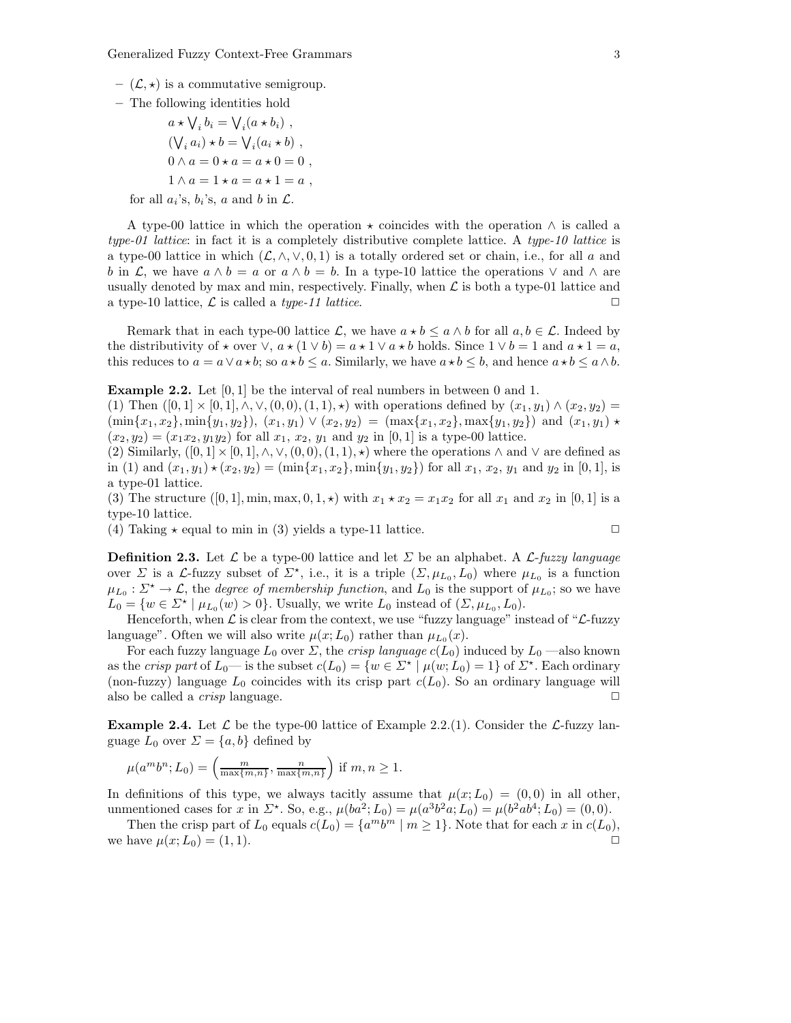- $(\mathcal{L}, \star)$  is a commutative semigroup.
- The following identities hold
	- $a \star \bigvee_i b_i = \bigvee_i (a \star b_i)$ ,  $(\bigvee_i a_i) \star b = \bigvee_i (a_i \star b)$ ,  $0 \wedge a = 0 \star a = a \star 0 = 0$ ,  $1 \wedge a = 1 \star a = a \star 1 = a$ , for all  $a_i$ 's,  $b_i$ 's, a and b in  $\mathcal{L}$ .

A type-00 lattice in which the operation  $\star$  coincides with the operation  $\land$  is called a type-01 lattice: in fact it is a completely distributive complete lattice. A type-10 lattice is a type-00 lattice in which  $(\mathcal{L}, \wedge, \vee, 0, 1)$  is a totally ordered set or chain, i.e., for all a and b in L, we have  $a \wedge b = a$  or  $a \wedge b = b$ . In a type-10 lattice the operations  $\vee$  and  $\wedge$  are usually denoted by max and min, respectively. Finally, when  $\mathcal L$  is both a type-01 lattice and a type-10 lattice,  $\mathcal L$  is called a type-11 lattice.

Remark that in each type-00 lattice  $\mathcal{L}$ , we have  $a * b \leq a \wedge b$  for all  $a, b \in \mathcal{L}$ . Indeed by the distributivity of  $\star$  over  $\vee$ ,  $a \star (1 \vee b) = a \star 1 \vee a \star b$  holds. Since  $1 \vee b = 1$  and  $a \star 1 = a$ , this reduces to  $a = a \vee a \star b$ ; so  $a \star b \le a$ . Similarly, we have  $a \star b \le b$ , and hence  $a \star b \le a \wedge b$ .

**Example 2.2.** Let  $[0, 1]$  be the interval of real numbers in between 0 and 1.

(1) Then  $([0, 1] \times [0, 1], \wedge, \vee, (0, 0), (1, 1), \star)$  with operations defined by  $(x_1, y_1) \wedge (x_2, y_2) =$  $(\min\{x_1, x_2\}, \min\{y_1, y_2\}), (x_1, y_1) \vee (x_2, y_2) = (\max\{x_1, x_2\}, \max\{y_1, y_2\})$  and  $(x_1, y_1) \star$  $(x_2, y_2) = (x_1x_2, y_1y_2)$  for all  $x_1, x_2, y_1$  and  $y_2$  in [0, 1] is a type-00 lattice.

(2) Similarly,  $([0,1] \times [0,1], \wedge, \vee, (0,0), (1,1), \star)$  where the operations  $\wedge$  and  $\vee$  are defined as in (1) and  $(x_1, y_1) \star (x_2, y_2) = (\min\{x_1, x_2\}, \min\{y_1, y_2\})$  for all  $x_1, x_2, y_1$  and  $y_2$  in [0, 1], is a type-01 lattice.

(3) The structure  $([0, 1], \min, \max, 0, 1, \star)$  with  $x_1 \star x_2 = x_1 x_2$  for all  $x_1$  and  $x_2$  in [0, 1] is a type-10 lattice.

(4) Taking  $\star$  equal to min in (3) yields a type-11 lattice.

**Definition 2.3.** Let  $\mathcal{L}$  be a type-00 lattice and let  $\Sigma$  be an alphabet. A  $\mathcal{L}$ -fuzzy language over  $\Sigma$  is a L-fuzzy subset of  $\Sigma^*$ , i.e., it is a triple  $(\Sigma, \mu_{L_0}, L_0)$  where  $\mu_{L_0}$  is a function  $\mu_{L_0}: \Sigma^* \to \mathcal{L}$ , the *degree of membership function*, and  $L_0$  is the support of  $\mu_{L_0}$ ; so we have  $L_0 = \{w \in \Sigma^* \mid \mu_{L_0}(w) > 0\}.$  Usually, we write  $L_0$  instead of  $(\Sigma, \mu_{L_0}, L_0)$ .

Henceforth, when  $\mathcal L$  is clear from the context, we use "fuzzy language" instead of " $\mathcal L$ -fuzzy language". Often we will also write  $\mu(x; L_0)$  rather than  $\mu_{L_0}(x)$ .

For each fuzzy language  $L_0$  over  $\Sigma$ , the *crisp language*  $c(L_0)$  induced by  $L_0$  —also known as the *crisp part* of  $L_0$ — is the subset  $c(L_0) = \{w \in \Sigma^* \mid \mu(w; L_0) = 1\}$  of  $\Sigma^*$ . Each ordinary (non-fuzzy) language  $L_0$  coincides with its crisp part  $c(L_0)$ . So an ordinary language will also be called a *crisp* language.  $\Box$ 

**Example 2.4.** Let  $\mathcal{L}$  be the type-00 lattice of Example 2.2.(1). Consider the  $\mathcal{L}$ -fuzzy language  $L_0$  over  $\Sigma = \{a, b\}$  defined by

$$
\mu(a^m b^n; L_0) = \left(\frac{m}{\max\{m, n\}}, \frac{n}{\max\{m, n\}}\right) \text{ if } m, n \ge 1.
$$

In definitions of this type, we always tacitly assume that  $\mu(x;L_0) = (0,0)$  in all other, unmentioned cases for x in  $\Sigma^*$ . So, e.g.,  $\mu(ba^2; L_0) = \mu(a^3b^2a; L_0) = \mu(b^2ab^4; L_0) = (0, 0)$ .

Then the crisp part of  $L_0$  equals  $c(L_0) = \{a^m b^m \mid m \ge 1\}$ . Note that for each x in  $c(L_0)$ , we have  $\mu(x;L_0) = (1,1).$ 

$$
\qquad \qquad \Box
$$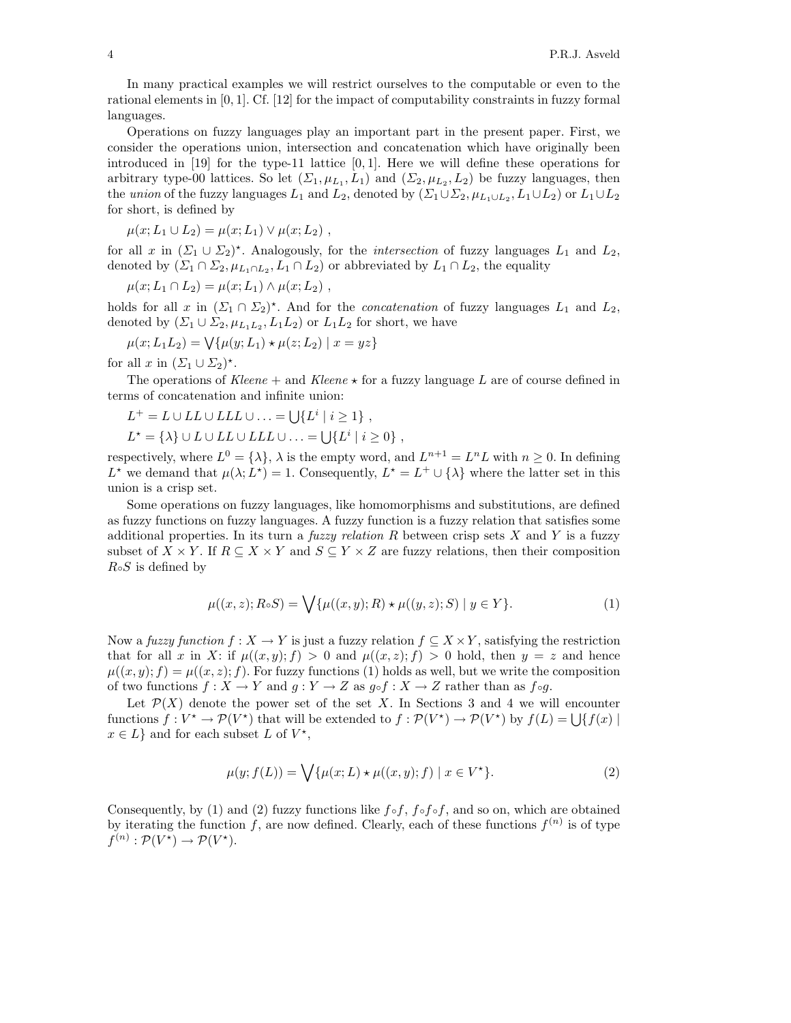In many practical examples we will restrict ourselves to the computable or even to the rational elements in [0, 1]. Cf. [12] for the impact of computability constraints in fuzzy formal languages.

Operations on fuzzy languages play an important part in the present paper. First, we consider the operations union, intersection and concatenation which have originally been introduced in  $[19]$  for the type-11 lattice  $[0, 1]$ . Here we will define these operations for arbitrary type-00 lattices. So let  $(\Sigma_1, \mu_{L_1}, L_1)$  and  $(\Sigma_2, \mu_{L_2}, L_2)$  be fuzzy languages, then the union of the fuzzy languages  $L_1$  and  $L_2$ , denoted by  $(\Sigma_1 \cup \Sigma_2, \mu_{L_1 \cup L_2}, L_1 \cup L_2)$  or  $L_1 \cup L_2$ for short, is defined by

 $\mu(x; L_1 \cup L_2) = \mu(x; L_1) \vee \mu(x; L_2)$ ,

for all x in  $(\Sigma_1 \cup \Sigma_2)^*$ . Analogously, for the *intersection* of fuzzy languages  $L_1$  and  $L_2$ , denoted by  $(\Sigma_1 \cap \Sigma_2, \mu_{L_1 \cap L_2}, L_1 \cap L_2)$  or abbreviated by  $L_1 \cap L_2$ , the equality

$$
\mu(x; L_1 \cap L_2) = \mu(x; L_1) \wedge \mu(x; L_2) ,
$$

holds for all x in  $(\Sigma_1 \cap \Sigma_2)^*$ . And for the *concatenation* of fuzzy languages  $L_1$  and  $L_2$ , denoted by  $(\Sigma_1 \cup \Sigma_2, \mu_{L_1L_2}, L_1L_2)$  or  $L_1L_2$  for short, we have

$$
\mu(x; L_1L_2) = \bigvee \{ \mu(y; L_1) \star \mu(z; L_2) \mid x = yz \}
$$

for all  $x$  in  $(\Sigma_1 \cup \Sigma_2)^*$ .

The operations of Kleene + and Kleene  $\star$  for a fuzzy language L are of course defined in terms of concatenation and infinite union:

$$
L^+ = L \cup LL \cup LLL \cup ... = \bigcup \{L^i \mid i \geq 1\},
$$
  

$$
L^* = \{\lambda\} \cup L \cup LL \cup LLL \cup ... = \bigcup \{L^i \mid i \geq 0\},
$$

respectively, where  $L^0 = \{\lambda\}, \lambda$  is the empty word, and  $L^{n+1} = L^n L$  with  $n \geq 0$ . In defining L<sup>\*</sup> we demand that  $\mu(\lambda; L^*) = 1$ . Consequently,  $L^* = L^+ \cup {\lambda}$  where the latter set in this union is a crisp set.

Some operations on fuzzy languages, like homomorphisms and substitutions, are defined as fuzzy functions on fuzzy languages. A fuzzy function is a fuzzy relation that satisfies some additional properties. In its turn a *fuzzy relation R* between crisp sets X and Y is a fuzzy subset of  $X \times Y$ . If  $R \subseteq X \times Y$  and  $S \subseteq Y \times Z$  are fuzzy relations, then their composition  $R \circ S$  is defined by

$$
\mu((x, z); R \circ S) = \bigvee \{ \mu((x, y); R) \star \mu((y, z); S) \mid y \in Y \}. \tag{1}
$$

Now a fuzzy function  $f: X \to Y$  is just a fuzzy relation  $f \subseteq X \times Y$ , satisfying the restriction that for all x in X: if  $\mu((x, y); f) > 0$  and  $\mu((x, z); f) > 0$  hold, then  $y = z$  and hence  $\mu((x, y); f) = \mu((x, z); f)$ . For fuzzy functions (1) holds as well, but we write the composition of two functions  $f: X \to Y$  and  $g: Y \to Z$  as  $g \circ f: X \to Z$  rather than as  $f \circ g$ .

Let  $\mathcal{P}(X)$  denote the power set of the set X. In Sections 3 and 4 we will encounter functions  $f: V^* \to \mathcal{P}(V^*)$  that will be extended to  $f: \mathcal{P}(V^*) \to \mathcal{P}(V^*)$  by  $f(L) = \bigcup \{f(x) \mid$  $x \in L$  and for each subset L of  $V^*$ ,

$$
\mu(y; f(L)) = \bigvee \{ \mu(x; L) \star \mu((x, y); f) \mid x \in V^* \}. \tag{2}
$$

Consequently, by (1) and (2) fuzzy functions like  $f \circ f$ ,  $f \circ f \circ f$ , and so on, which are obtained by iterating the function f, are now defined. Clearly, each of these functions  $f^{(n)}$  is of type  $f^{(n)}: \mathcal{P}(V^*) \to \mathcal{P}(V^*)$ .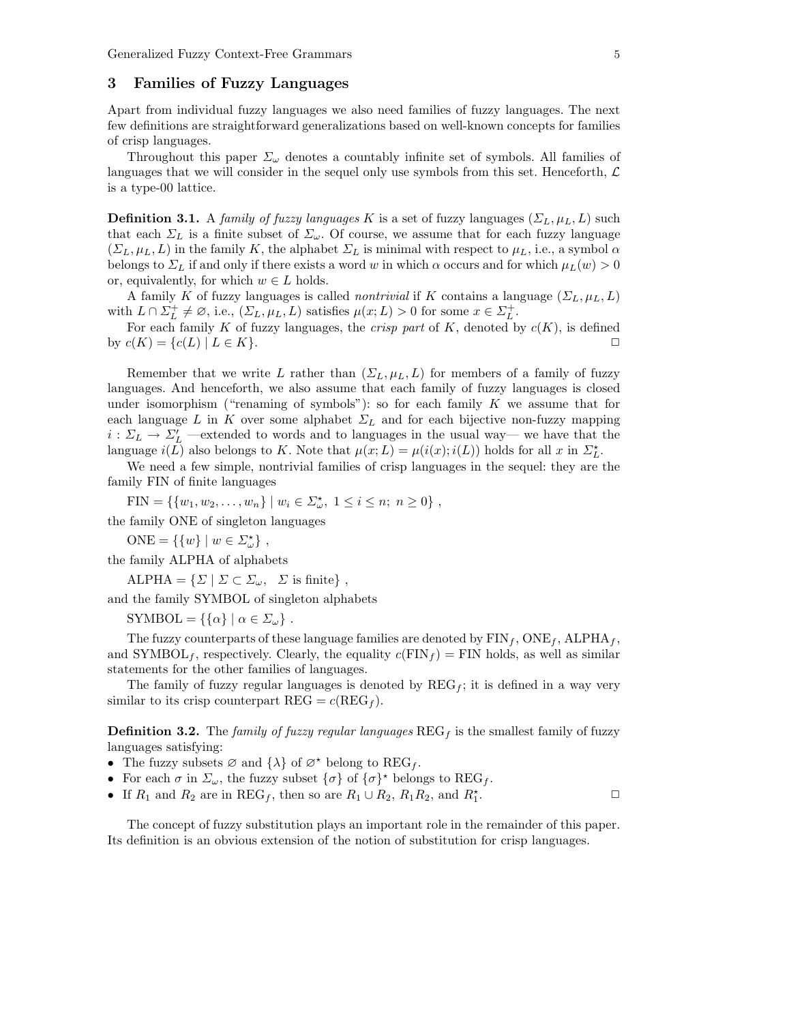### 3 Families of Fuzzy Languages

Apart from individual fuzzy languages we also need families of fuzzy languages. The next few definitions are straightforward generalizations based on well-known concepts for families of crisp languages.

Throughout this paper  $\Sigma_{\omega}$  denotes a countably infinite set of symbols. All families of languages that we will consider in the sequel only use symbols from this set. Henceforth,  $\mathcal{L}$ is a type-00 lattice.

**Definition 3.1.** A family of fuzzy languages K is a set of fuzzy languages  $(\Sigma_L, \mu_L, L)$  such that each  $\Sigma_L$  is a finite subset of  $\Sigma_{\omega}$ . Of course, we assume that for each fuzzy language  $(\Sigma_L, \mu_L, L)$  in the family K, the alphabet  $\Sigma_L$  is minimal with respect to  $\mu_L$ , i.e., a symbol  $\alpha$ belongs to  $\Sigma_L$  if and only if there exists a word w in which  $\alpha$  occurs and for which  $\mu_L(w) > 0$ or, equivalently, for which  $w \in L$  holds.

A family K of fuzzy languages is called *nontrivial* if K contains a language  $(\Sigma_L, \mu_L, L)$ with  $L \cap \Sigma_L^+ \neq \emptyset$ , i.e.,  $(\Sigma_L, \mu_L, L)$  satisfies  $\mu(x; L) > 0$  for some  $x \in \Sigma_L^+$ .

For each family K of fuzzy languages, the *crisp part* of K, denoted by  $c(K)$ , is defined by  $c(K) = \{c(L) \mid L \in K\}.$ 

Remember that we write L rather than  $(\Sigma_L, \mu_L, L)$  for members of a family of fuzzy languages. And henceforth, we also assume that each family of fuzzy languages is closed under isomorphism ("renaming of symbols"): so for each family  $K$  we assume that for each language L in K over some alphabet  $\Sigma_L$  and for each bijective non-fuzzy mapping  $i: \Sigma_L \to \Sigma'_L$  —extended to words and to languages in the usual way— we have that the language  $i(L)$  also belongs to K. Note that  $\mu(x; L) = \mu(i(x); i(L))$  holds for all x in  $\Sigma_L^*$ .

We need a few simple, nontrivial families of crisp languages in the sequel: they are the family FIN of finite languages

FIN = {{ $w_1, w_2, ..., w_n$ } |  $w_i \in \Sigma_{\omega}^{\star}$ ,  $1 \le i \le n$ ;  $n \ge 0$ },

the family ONE of singleton languages

 $ONE = \{\{w\} \mid w \in \Sigma_{\omega}^{\star}\},\$ 

the family ALPHA of alphabets

 $ALPHA = \{ \Sigma \mid \Sigma \subset \Sigma_\omega, \Sigma \text{ is finite} \},$ 

and the family SYMBOL of singleton alphabets

SYMBOL =  $\{\{\alpha\} \mid \alpha \in \Sigma_\omega\}.$ 

The fuzzy counterparts of these language families are denoted by  $\text{FIN}_f$ ,  $\text{ONE}_f$ ,  $\text{ALPHA}_f$ , and SYMBOL<sub>f</sub>, respectively. Clearly, the equality  $c(FIN_f) = FIN$  holds, as well as similar statements for the other families of languages.

The family of fuzzy regular languages is denoted by  $\text{REG}_f$ ; it is defined in a way very similar to its crisp counterpart  $\text{REG} = c(\text{REG}_f)$ .

**Definition 3.2.** The family of fuzzy regular languages  $\text{REG}_f$  is the smallest family of fuzzy languages satisfying:

- The fuzzy subsets  $\varnothing$  and  $\{\lambda\}$  of  $\varnothing^*$  belong to REG<sub>f</sub>.
- For each  $\sigma$  in  $\Sigma_{\omega}$ , the fuzzy subset  $\{\sigma\}$  of  $\{\sigma\}^*$  belongs to REG<sub>f</sub>.
- If  $R_1$  and  $R_2$  are in  $\text{REG}_f$ , then so are  $R_1 \cup R_2$ ,  $R_1R_2$ , and  $R_1^*$  $\cdot$   $\qquad \qquad \Box$

The concept of fuzzy substitution plays an important role in the remainder of this paper. Its definition is an obvious extension of the notion of substitution for crisp languages.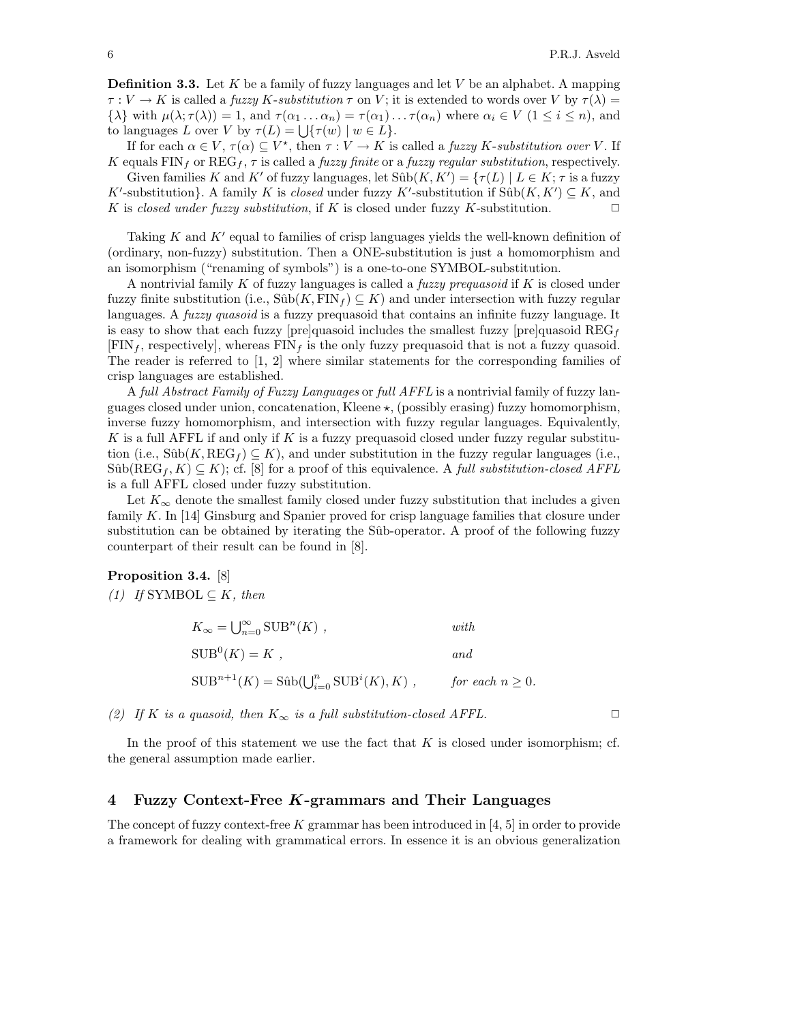**Definition 3.3.** Let K be a family of fuzzy languages and let V be an alphabet. A mapping  $\tau: V \to K$  is called a fuzzy K-substitution  $\tau$  on V; it is extended to words over V by  $\tau(\lambda)$  =  $\{\lambda\}$  with  $\mu(\lambda;\tau(\lambda)) = 1$ , and  $\tau(\alpha_1 \ldots \alpha_n) = \tau(\alpha_1) \ldots \tau(\alpha_n)$  where  $\alpha_i \in V$   $(1 \leq i \leq n)$ , and to languages L over V by  $\tau(L) = \bigcup \{ \tau(w) \mid w \in L \}.$ 

If for each  $\alpha \in V$ ,  $\tau(\alpha) \subseteq V^*$ , then  $\tau : V \to K$  is called a *fuzzy K-substitution over* V. If K equals FIN<sub>f</sub> or REG<sub>f</sub>,  $\tau$  is called a *fuzzy finite* or a *fuzzy regular substitution*, respectively.

Given families K and K' of fuzzy languages, let  $Sûb(K, K') = \{ \tau(L) \mid L \in K; \tau \text{ is a fuzzy} \}$ K'-substitution}. A family K is closed under fuzzy K'-substitution if  $\text{Sûb}(K, K') \subseteq K$ , and K is closed under fuzzy substitution, if K is closed under fuzzy K-substitution.  $\Box$ 

Taking  $K$  and  $K'$  equal to families of crisp languages yields the well-known definition of (ordinary, non-fuzzy) substitution. Then a ONE-substitution is just a homomorphism and an isomorphism ("renaming of symbols") is a one-to-one SYMBOL-substitution.

A nontrivial family K of fuzzy languages is called a fuzzy prequasoid if K is closed under fuzzy finite substitution (i.e.,  $Sûb(K, FIN_f) \subseteq K$ ) and under intersection with fuzzy regular languages. A *fuzzy quasoid* is a fuzzy prequasoid that contains an infinite fuzzy language. It is easy to show that each fuzzy [pre]quasoid includes the smallest fuzzy [pre]quasoid  $\text{REG}_{f}$  $[FIN_f, respectively]$ , whereas  $FIN_f$  is the only fuzzy prequasoid that is not a fuzzy quasoid. The reader is referred to [1, 2] where similar statements for the corresponding families of crisp languages are established.

A full Abstract Family of Fuzzy Languages or full AFFL is a nontrivial family of fuzzy languages closed under union, concatenation, Kleene  $\star$ , (possibly erasing) fuzzy homomorphism, inverse fuzzy homomorphism, and intersection with fuzzy regular languages. Equivalently, K is a full AFFL if and only if K is a fuzzy prequasoid closed under fuzzy regular substitution (i.e.,  $\text{Sûb}(K, \text{REG}_f) \subseteq K$ ), and under substitution in the fuzzy regular languages (i.e.,  $\text{Sûb}(\text{REG}_f, K) \subseteq K$ ; cf. [8] for a proof of this equivalence. A *full substitution-closed AFFL* is a full AFFL closed under fuzzy substitution.

Let  $K_{\infty}$  denote the smallest family closed under fuzzy substitution that includes a given family  $K$ . In [14] Ginsburg and Spanier proved for crisp language families that closure under substitution can be obtained by iterating the Sûb-operator. A proof of the following fuzzy counterpart of their result can be found in [8].

#### Proposition 3.4. [8]

(1) If SYMBOL  $\subseteq K$ , then

| $K_{\infty} = \bigcup_{n=0}^{\infty} \text{SUB}^n(K)$ ,                      | with                  |
|------------------------------------------------------------------------------|-----------------------|
| $SUB^{0}(K) = K$ ,                                                           | and                   |
| $\text{SUB}^{n+1}(K) = \text{Sûb}(\bigcup_{i=0}^{n} \text{SUB}^{i}(K), K)$ , | for each $n \geq 0$ . |

(2) If K is a quasoid, then  $K_{\infty}$  is a full substitution-closed AFFL.  $\square$ 

In the proof of this statement we use the fact that  $K$  is closed under isomorphism; cf. the general assumption made earlier.

## 4 Fuzzy Context-Free  $K$ -grammars and Their Languages

The concept of fuzzy context-free K grammar has been introduced in  $[4, 5]$  in order to provide a framework for dealing with grammatical errors. In essence it is an obvious generalization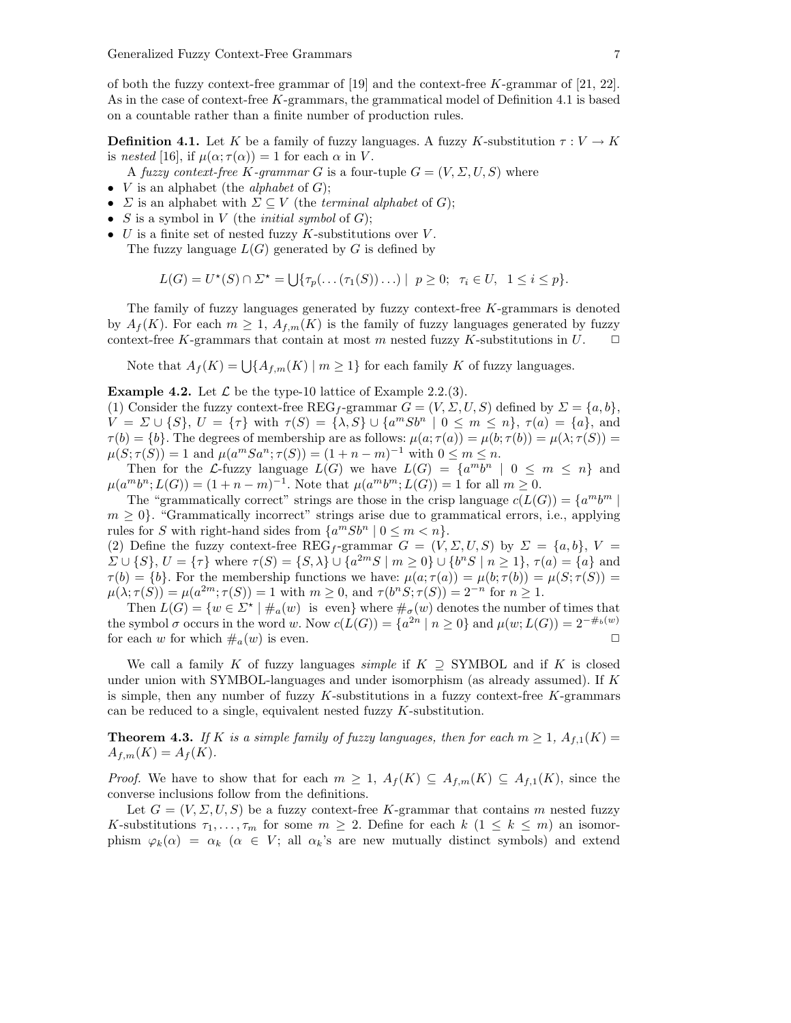of both the fuzzy context-free grammar of [19] and the context-free  $K$ -grammar of [21, 22]. As in the case of context-free K-grammars, the grammatical model of Definition 4.1 is based on a countable rather than a finite number of production rules.

**Definition 4.1.** Let K be a family of fuzzy languages. A fuzzy K-substitution  $\tau: V \to K$ is nested [16], if  $\mu(\alpha; \tau(\alpha)) = 1$  for each  $\alpha$  in V.

A fuzzy context-free K-qrammar G is a four-tuple  $G = (V, \Sigma, U, S)$  where

- $V$  is an alphabet (the *alphabet* of  $G$ );
- $\Sigma$  is an alphabet with  $\Sigma \subset V$  (the *terminal alphabet* of G);
- S is a symbol in V (the *initial symbol* of  $G$ );
- $U$  is a finite set of nested fuzzy  $K$ -substitutions over  $V$ . The fuzzy language  $L(G)$  generated by G is defined by

$$
L(G) = U^{\star}(S) \cap \Sigma^{\star} = \bigcup \{ \tau_p(\dots(\tau_1(S))\dots) \mid p \ge 0; \ \tau_i \in U, \ 1 \le i \le p \}.
$$

The family of fuzzy languages generated by fuzzy context-free K-grammars is denoted by  $A_f(K)$ . For each  $m \geq 1$ ,  $A_{f,m}(K)$  is the family of fuzzy languages generated by fuzzy context-free K-grammars that contain at most m nested fuzzy K-substitutions in  $U$ .  $\Box$ 

Note that  $A_f(K) = \bigcup \{A_{f,m}(K) \mid m \geq 1\}$  for each family K of fuzzy languages.

**Example 4.2.** Let  $\mathcal{L}$  be the type-10 lattice of Example 2.2.(3).

(1) Consider the fuzzy context-free REG<sub>f</sub>-grammar  $G = (V, \Sigma, U, S)$  defined by  $\Sigma = \{a, b\}$ ,  $V = \Sigma \cup \{S\}, U = \{\tau\}$  with  $\tau(S) = \{\lambda, S\} \cup \{a^m S b^n \mid 0 \leq m \leq n\}, \tau(a) = \{a\},\$ and  $\tau(b) = \{b\}.$  The degrees of membership are as follows:  $\mu(a; \tau(a)) = \mu(b; \tau(b)) = \mu(\lambda; \tau(S)) =$  $\mu(S; \tau(S)) = 1$  and  $\mu(a^m S a^n; \tau(S)) = (1 + n - m)^{-1}$  with  $0 \le m \le n$ .

Then for the L-fuzzy language  $L(G)$  we have  $L(G) = \{a^m b^n \mid 0 \leq m \leq n\}$  and  $\mu(a^m b^n; L(G)) = (1 + n - m)^{-1}$ . Note that  $\mu(a^m b^m; L(G)) = 1$  for all  $m \ge 0$ .

The "grammatically correct" strings are those in the crisp language  $c(L(G)) = \{a^m b^m \mid a \in K(G)\}$  $m \geq 0$ . "Grammatically incorrect" strings arise due to grammatical errors, i.e., applying rules for S with right-hand sides from  $\{a^mSb^n \mid 0 \le m < n\}.$ 

(2) Define the fuzzy context-free REG<sub>f</sub>-grammar  $G = (V, \Sigma, U, S)$  by  $\Sigma = \{a, b\}, V =$  $\Sigma \cup \{S\}, U = \{\tau\}$  where  $\tau(S) = \{S, \lambda\} \cup \{a^{2m}S \mid m \geq 0\} \cup \{b^nS \mid n \geq 1\}, \tau(a) = \{a\}$  and  $\tau(b) = \{b\}$ . For the membership functions we have:  $\mu(a; \tau(a)) = \mu(b; \tau(b)) = \mu(S; \tau(S)) =$  $\mu(\lambda; \tau(S)) = \mu(a^{2m}; \tau(S)) = 1$  with  $m \ge 0$ , and  $\tau(b^nS; \tau(S)) = 2^{-n}$  for  $n \ge 1$ .

Then  $L(G) = \{w \in \Sigma^* \mid \#_a(w) \text{ is even}\}$  where  $\#_\sigma(w)$  denotes the number of times that the symbol  $\sigma$  occurs in the word w. Now  $c(L(G)) = \{a^{2n} \mid n \geq 0\}$  and  $\mu(w; L(G)) = 2^{-\#_b(w)}$ for each w for which  $\#_a(w)$  is even.  $\Box$ 

We call a family K of fuzzy languages *simple* if  $K \supseteq$  SYMBOL and if K is closed under union with SYMBOL-languages and under isomorphism (as already assumed). If K is simple, then any number of fuzzy  $K$ -substitutions in a fuzzy context-free  $K$ -grammars can be reduced to a single, equivalent nested fuzzy K-substitution.

**Theorem 4.3.** If K is a simple family of fuzzy languages, then for each  $m \geq 1$ ,  $A_{f,1}(K) =$  $A_{f,m}(K) = A_f(K)$ .

*Proof.* We have to show that for each  $m \geq 1$ ,  $A_f(K) \subseteq A_{f,m}(K) \subseteq A_{f,1}(K)$ , since the converse inclusions follow from the definitions.

Let  $G = (V, \Sigma, U, S)$  be a fuzzy context-free K-grammar that contains m nested fuzzy K-substitutions  $\tau_1, \ldots, \tau_m$  for some  $m \geq 2$ . Define for each  $k \ (1 \leq k \leq m)$  an isomorphism  $\varphi_k(\alpha) = \alpha_k \ (\alpha \in V; \text{ all } \alpha_k\text{'s are new mutually distinct symbols})$  and extend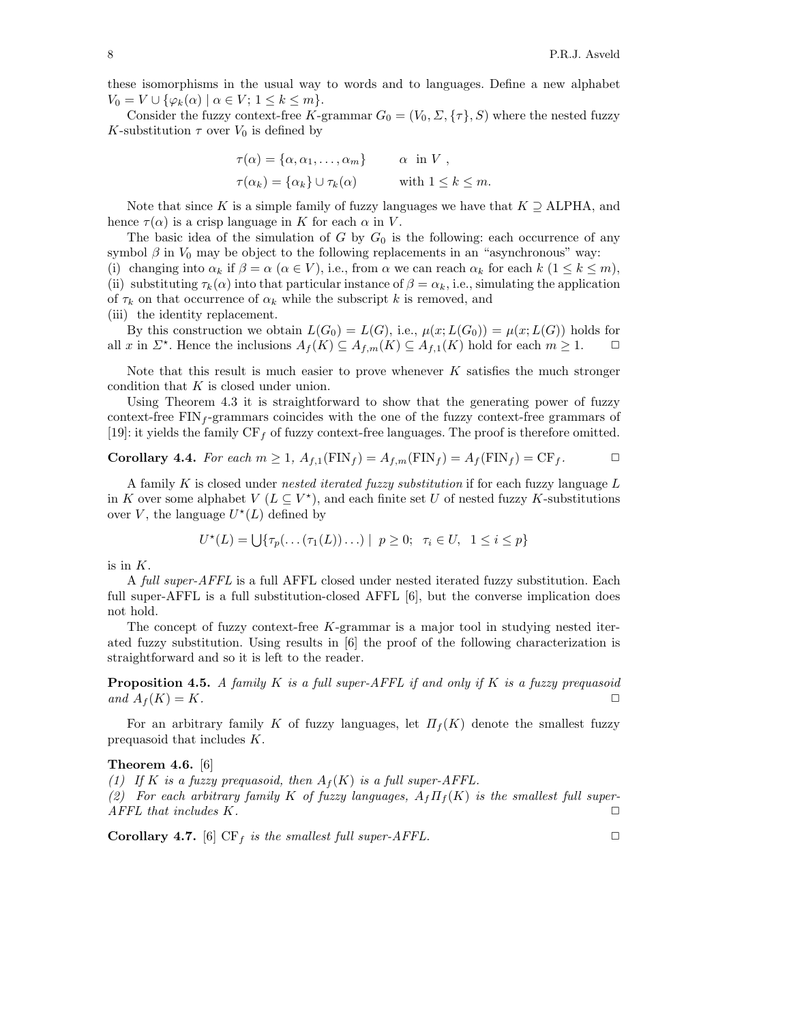these isomorphisms in the usual way to words and to languages. Define a new alphabet  $V_0 = V \cup \{ \varphi_k(\alpha) \mid \alpha \in V; 1 \leq k \leq m \}.$ 

Consider the fuzzy context-free K-grammar  $G_0 = (V_0, \Sigma, {\{\tau\}}, S)$  where the nested fuzzy K-substitution  $\tau$  over  $V_0$  is defined by

$$
\tau(\alpha) = \{\alpha, \alpha_1, \dots, \alpha_m\} \qquad \alpha \text{ in } V ,
$$
  

$$
\tau(\alpha_k) = \{\alpha_k\} \cup \tau_k(\alpha) \qquad \text{ with } 1 \le k \le m.
$$

Note that since K is a simple family of fuzzy languages we have that  $K \supseteq$  ALPHA, and hence  $\tau(\alpha)$  is a crisp language in K for each  $\alpha$  in V.

The basic idea of the simulation of G by  $G_0$  is the following: each occurrence of any symbol  $\beta$  in  $V_0$  may be object to the following replacements in an "asynchronous" way: (i) changing into  $\alpha_k$  if  $\beta = \alpha$  ( $\alpha \in V$ ), i.e., from  $\alpha$  we can reach  $\alpha_k$  for each  $k$  ( $1 \leq k \leq m$ ), (ii) substituting  $\tau_k(\alpha)$  into that particular instance of  $\beta = \alpha_k$ , i.e., simulating the application of  $\tau_k$  on that occurrence of  $\alpha_k$  while the subscript k is removed, and (iii) the identity replacement.

By this construction we obtain  $L(G_0) = L(G)$ , i.e.,  $\mu(x; L(G_0)) = \mu(x; L(G))$  holds for all x in  $\Sigma^*$ . Hence the inclusions  $A_f(K) \subseteq A_{f,m}(K) \subseteq A_{f,1}(K)$  hold for each  $m \geq 1$ .  $\Box$ 

Note that this result is much easier to prove whenever  $K$  satisfies the much stronger condition that K is closed under union.

Using Theorem 4.3 it is straightforward to show that the generating power of fuzzy context-free  $\text{FIN}_f$ -grammars coincides with the one of the fuzzy context-free grammars of [19]: it yields the family  $CF<sub>f</sub>$  of fuzzy context-free languages. The proof is therefore omitted.

**Corollary 4.4.** For each 
$$
m \ge 1
$$
,  $A_{f,1}(\text{FIN}_f) = A_{f,m}(\text{FIN}_f) = A_f(\text{FIN}_f) = \text{CF}_f$ .

A family K is closed under nested iterated fuzzy substitution if for each fuzzy language  $L$ in K over some alphabet  $V(L \subseteq V^*)$ , and each finite set U of nested fuzzy K-substitutions over V, the language  $U^*(L)$  defined by

$$
U^{\star}(L) = \bigcup \{ \tau_p(\dots(\tau_1(L))\dots) \mid p \ge 0; \ \tau_i \in U, \ 1 \le i \le p \}
$$

is in  $K$ .

A full super-AFFL is a full AFFL closed under nested iterated fuzzy substitution. Each full super-AFFL is a full substitution-closed AFFL [6], but the converse implication does not hold.

The concept of fuzzy context-free  $K$ -grammar is a major tool in studying nested iterated fuzzy substitution. Using results in [6] the proof of the following characterization is straightforward and so it is left to the reader.

**Proposition 4.5.** A family  $K$  is a full super-AFFL if and only if  $K$  is a fuzzy prequasoid and  $A_f(K) = K$ .

For an arbitrary family K of fuzzy languages, let  $\Pi_f(K)$  denote the smallest fuzzy prequasoid that includes K.

#### Theorem 4.6. [6]

(1) If K is a fuzzy prequasoid, then  $A_f(K)$  is a full super-AFFL.

(2) For each arbitrary family K of fuzzy languages,  $A_f \Pi_f(K)$  is the smallest full super- $AFFL$  that includes K.  $\Box$ 

**Corollary 4.7.** [6]  $CF_f$  is the smallest full super-AFFL.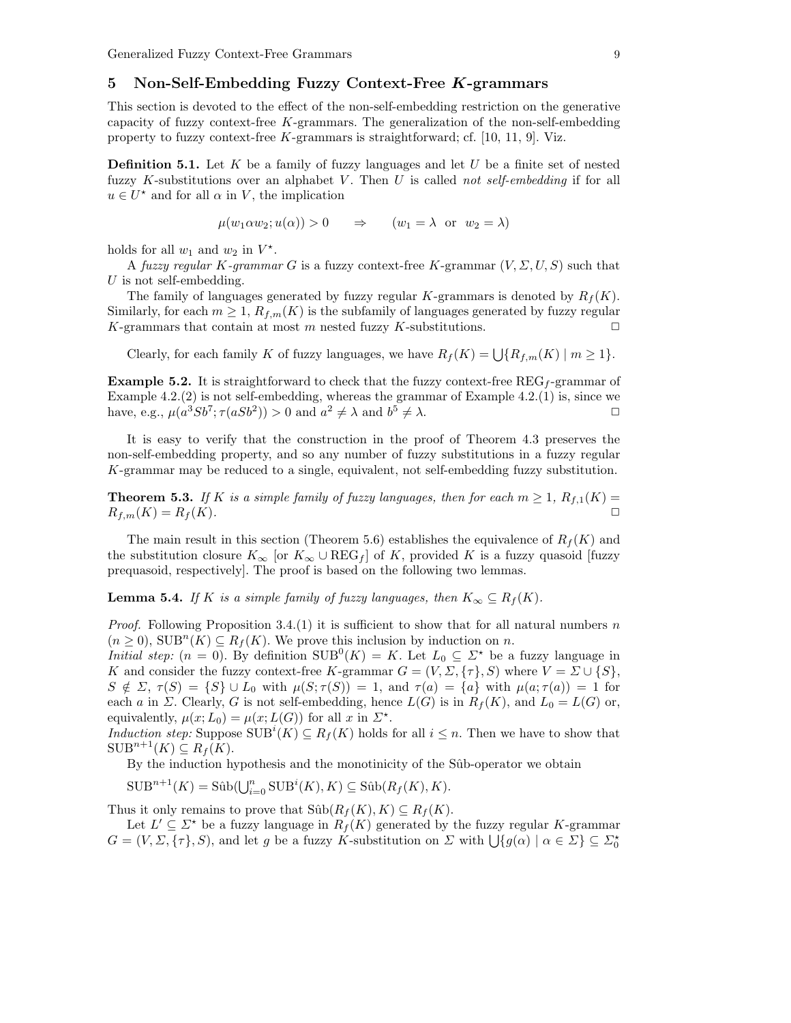## 5 Non-Self-Embedding Fuzzy Context-Free K-grammars

This section is devoted to the effect of the non-self-embedding restriction on the generative capacity of fuzzy context-free K-grammars. The generalization of the non-self-embedding property to fuzzy context-free  $K$ -grammars is straightforward; cf. [10, 11, 9]. Viz.

**Definition 5.1.** Let  $K$  be a family of fuzzy languages and let  $U$  be a finite set of nested fuzzy K-substitutions over an alphabet V. Then U is called not self-embedding if for all  $u \in U^*$  and for all  $\alpha$  in V, the implication

$$
\mu(w_1 \alpha w_2; u(\alpha)) > 0 \Rightarrow (w_1 = \lambda \text{ or } w_2 = \lambda)
$$

holds for all  $w_1$  and  $w_2$  in  $V^*$ .

A fuzzy regular K-grammar G is a fuzzy context-free K-grammar  $(V, \Sigma, U, S)$  such that U is not self-embedding.

The family of languages generated by fuzzy regular K-grammars is denoted by  $R_f(K)$ . Similarly, for each  $m \geq 1$ ,  $R_{f,m}(K)$  is the subfamily of languages generated by fuzzy regular K-grammars that contain at most m nested fuzzy K-substitutions.  $\square$ 

Clearly, for each family K of fuzzy languages, we have  $R_f(K) = \bigcup \{R_{f,m}(K) \mid m \geq 1\}.$ 

**Example 5.2.** It is straightforward to check that the fuzzy context-free  $\text{REG}_f$ -grammar of Example  $4.2(2)$  is not self-embedding, whereas the grammar of Example  $4.2(1)$  is, since we have, e.g.,  $\mu(a^3Sb^7; \tau(aSb^2)) > 0$  and  $a^2 \neq \lambda$  and  $b^5 \neq \lambda$ .

It is easy to verify that the construction in the proof of Theorem 4.3 preserves the non-self-embedding property, and so any number of fuzzy substitutions in a fuzzy regular K-grammar may be reduced to a single, equivalent, not self-embedding fuzzy substitution.

**Theorem 5.3.** If K is a simple family of fuzzy languages, then for each  $m \geq 1$ ,  $R_{f,1}(K) =$  $R_{f,m}(K) = R_f(K).$ 

The main result in this section (Theorem 5.6) establishes the equivalence of  $R_f(K)$  and the substitution closure  $K_{\infty}$  [or  $K_{\infty} \cup \text{REG}_{f}$ ] of K, provided K is a fuzzy quasoid [fuzzy prequasoid, respectively]. The proof is based on the following two lemmas.

**Lemma 5.4.** If K is a simple family of fuzzy languages, then  $K_{\infty} \subseteq R_f(K)$ .

*Proof.* Following Proposition 3.4.(1) it is sufficient to show that for all natural numbers n  $(n \geq 0)$ ,  $SUB<sup>n</sup>(K) \subseteq R<sub>f</sub>(K)$ . We prove this inclusion by induction on *n*.

*Initial step:*  $(n = 0)$ . By definition  $SUB^{0}(K) = K$ . Let  $L_0 \subseteq \Sigma^*$  be a fuzzy language in K and consider the fuzzy context-free K-grammar  $G = (V, \Sigma, \{\tau\}, S)$  where  $V = \Sigma \cup \{S\},\$  $S \notin \Sigma$ ,  $\tau(S) = \{S\} \cup L_0$  with  $\mu(S; \tau(S)) = 1$ , and  $\tau(a) = \{a\}$  with  $\mu(a; \tau(a)) = 1$  for each a in  $\Sigma$ . Clearly, G is not self-embedding, hence  $L(G)$  is in  $R_f(K)$ , and  $L_0 = L(G)$  or, equivalently,  $\mu(x; L_0) = \mu(x; L(G))$  for all x in  $\Sigma^*$ .

*Induction step:* Suppose  $\text{SUB}^i(K) \subseteq R_f(K)$  holds for all  $i \leq n$ . Then we have to show that  $\text{SUB}^{n+1}(K) \subseteq R_f(K).$ 

By the induction hypothesis and the monotinicity of the Sûb-operator we obtain

 $\text{SUB}^{n+1}(K) = \text{Sûb}(\bigcup_{i=0}^{n} \text{SUB}^{i}(K), K) \subseteq \text{Sûb}(R_f(K), K).$ 

Thus it only remains to prove that  $\text{Sûb}(R_f(K), K) \subseteq R_f(K)$ .

Let  $L' \subseteq \Sigma^*$  be a fuzzy language in  $R_f(K)$  generated by the fuzzy regular K-grammar  $G = (V, \Sigma, \{\tau\}, S)$ , and let g be a fuzzy K-substitution on  $\Sigma$  with  $\bigcup \{g(\alpha) \mid \alpha \in \Sigma\} \subseteq \Sigma_0^*$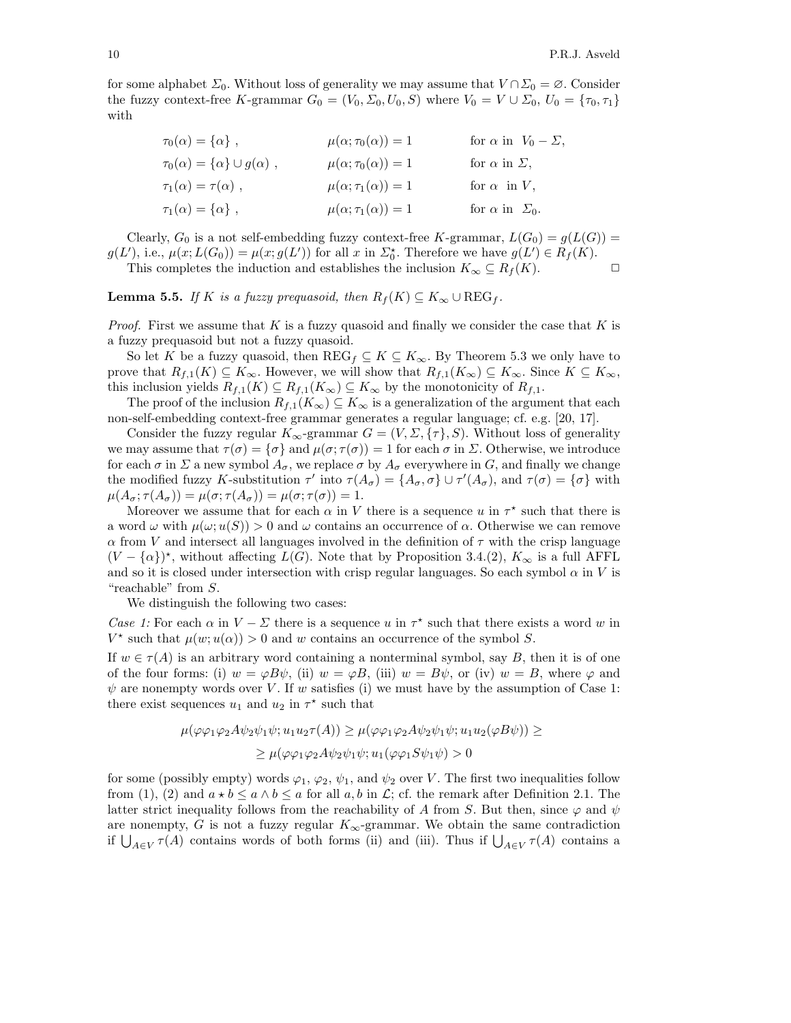for some alphabet  $\Sigma_0$ . Without loss of generality we may assume that  $V \cap \Sigma_0 = \emptyset$ . Consider the fuzzy context-free K-grammar  $G_0 = (V_0, \Sigma_0, U_0, S)$  where  $V_0 = V \cup \Sigma_0, U_0 = {\tau_0, \tau_1}$ with

| $\tau_0(\alpha) = {\alpha}$ ,                | $\mu(\alpha; \tau_0(\alpha)) = 1$ | for $\alpha$ in $V_0 - \Sigma$ , |
|----------------------------------------------|-----------------------------------|----------------------------------|
| $\tau_0(\alpha) = {\alpha} \cup g(\alpha)$ , | $\mu(\alpha; \tau_0(\alpha)) = 1$ | for $\alpha$ in $\Sigma$ .       |
| $\tau_1(\alpha) = \tau(\alpha)$ ,            | $\mu(\alpha; \tau_1(\alpha)) = 1$ | for $\alpha$ in V,               |
| $\tau_1(\alpha) = {\alpha},$                 | $\mu(\alpha; \tau_1(\alpha)) = 1$ | for $\alpha$ in $\Sigma_0$ .     |

Clearly,  $G_0$  is a not self-embedding fuzzy context-free K-grammar,  $L(G_0) = g(L(G))$  =  $g(L')$ , i.e.,  $\mu(x; L(G_0)) = \mu(x; g(L'))$  for all x in  $\Sigma_0^*$ . Therefore we have  $g(L') \in R_f(K)$ . This completes the induction and establishes the inclusion  $K_{\infty} \subseteq R_f(K)$ .

**Lemma 5.5.** If K is a fuzzy prequasoid, then  $R_f(K) \subseteq K_\infty \cup \text{REG}_f$ .

*Proof.* First we assume that  $K$  is a fuzzy quasoid and finally we consider the case that  $K$  is a fuzzy prequasoid but not a fuzzy quasoid.

So let K be a fuzzy quasoid, then  $\text{REG}_f \subseteq K \subseteq K_\infty$ . By Theorem 5.3 we only have to prove that  $R_{f,1}(K) \subseteq K_\infty$ . However, we will show that  $R_{f,1}(K_\infty) \subseteq K_\infty$ . Since  $K \subseteq K_\infty$ , this inclusion yields  $R_{f,1}(K) \subseteq R_{f,1}(K_\infty) \subseteq K_\infty$  by the monotonicity of  $R_{f,1}$ .

The proof of the inclusion  $R_{f,1}(K_{\infty}) \subseteq K_{\infty}$  is a generalization of the argument that each non-self-embedding context-free grammar generates a regular language; cf. e.g. [20, 17].

Consider the fuzzy regular  $K_{\infty}$ -grammar  $G = (V, \Sigma, \{\tau\}, S)$ . Without loss of generality we may assume that  $\tau(\sigma) = {\sigma}$  and  $\mu(\sigma; \tau(\sigma)) = 1$  for each  $\sigma$  in  $\Sigma$ . Otherwise, we introduce for each  $\sigma$  in  $\Sigma$  a new symbol  $A_{\sigma}$ , we replace  $\sigma$  by  $A_{\sigma}$  everywhere in G, and finally we change the modified fuzzy K-substitution  $\tau'$  into  $\tau(A_{\sigma}) = \{A_{\sigma}, \sigma\} \cup \tau'(A_{\sigma}),$  and  $\tau(\sigma) = \{\sigma\}$  with  $\mu(A_{\sigma}; \tau(A_{\sigma})) = \mu(\sigma; \tau(A_{\sigma})) = \mu(\sigma; \tau(\sigma)) = 1.$ 

Moreover we assume that for each  $\alpha$  in V there is a sequence u in  $\tau^*$  such that there is a word  $\omega$  with  $\mu(\omega; u(S)) > 0$  and  $\omega$  contains an occurrence of  $\alpha$ . Otherwise we can remove  $\alpha$  from V and intersect all languages involved in the definition of  $\tau$  with the crisp language  $(V - {\alpha})^*$ , without affecting  $L(G)$ . Note that by Proposition 3.4.(2),  $K_{\infty}$  is a full AFFL and so it is closed under intersection with crisp regular languages. So each symbol  $\alpha$  in V is "reachable" from S.

We distinguish the following two cases:

Case 1: For each  $\alpha$  in  $V - \Sigma$  there is a sequence u in  $\tau^*$  such that there exists a word w in  $V^*$  such that  $\mu(w; u(\alpha)) > 0$  and w contains an occurrence of the symbol S.

If  $w \in \tau(A)$  is an arbitrary word containing a nonterminal symbol, say B, then it is of one of the four forms: (i)  $w = \varphi B\psi$ , (ii)  $w = \varphi B$ , (iii)  $w = B\psi$ , or (iv)  $w = B$ , where  $\varphi$  and  $\psi$  are nonempty words over V. If w satisfies (i) we must have by the assumption of Case 1: there exist sequences  $u_1$  and  $u_2$  in  $\tau^*$  such that

$$
\mu(\varphi\varphi_1\varphi_2 A\psi_2\psi_1\psi; u_1u_2\tau(A)) \ge \mu(\varphi\varphi_1\varphi_2 A\psi_2\psi_1\psi; u_1u_2(\varphi B\psi)) \ge
$$
  
 
$$
\ge \mu(\varphi\varphi_1\varphi_2 A\psi_2\psi_1\psi; u_1(\varphi\varphi_1 S\psi_1\psi) > 0
$$

for some (possibly empty) words  $\varphi_1, \varphi_2, \psi_1$ , and  $\psi_2$  over V. The first two inequalities follow from (1), (2) and  $a * b \leq a \wedge b \leq a$  for all  $a, b$  in  $\mathcal{L}$ ; cf. the remark after Definition 2.1. The latter strict inequality follows from the reachability of A from S. But then, since  $\varphi$  and  $\psi$ are nonempty, G is not a fuzzy regular  $K_{\infty}$ -grammar. We obtain the same contradiction if  $\bigcup_{A\in V}\tau(A)$  contains words of both forms (ii) and (iii). Thus if  $\bigcup_{A\in V}\tau(A)$  contains a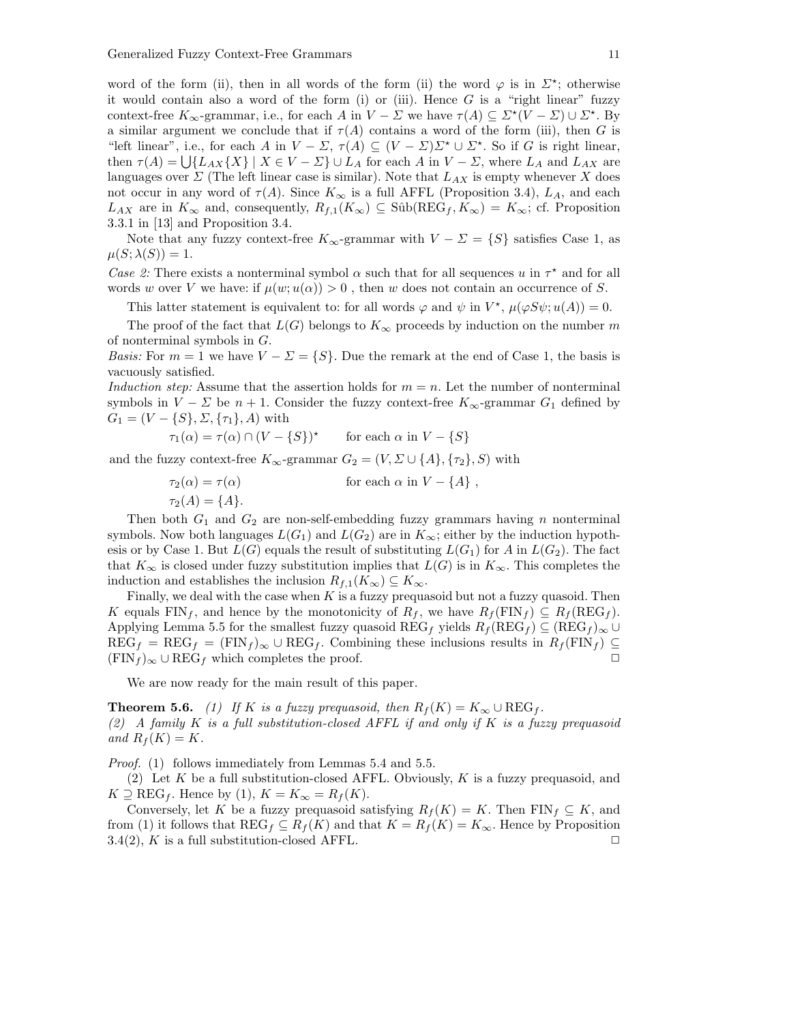word of the form (ii), then in all words of the form (ii) the word  $\varphi$  is in  $\Sigma^*$ ; otherwise it would contain also a word of the form (i) or (iii). Hence  $G$  is a "right linear" fuzzy context-free  $K_{\infty}$ -grammar, i.e., for each A in  $V - \Sigma$  we have  $\tau(A) \subseteq \Sigma^*(V - \Sigma) \cup \Sigma^*$ . By a similar argument we conclude that if  $\tau(A)$  contains a word of the form (iii), then G is "left linear", i.e., for each A in  $V - \Sigma$ ,  $\tau(A) \subseteq (V - \Sigma) \Sigma^* \cup \Sigma^*$ . So if G is right linear, then  $\tau(A) = \bigcup \{L_{AX}\{X\} \mid X \in V - \Sigma\} \cup L_A$  for each A in  $V - \Sigma$ , where  $L_A$  and  $L_{AX}$  are languages over  $\Sigma$  (The left linear case is similar). Note that  $L_{AX}$  is empty whenever X does not occur in any word of  $\tau(A)$ . Since  $K_{\infty}$  is a full AFFL (Proposition 3.4),  $L_A$ , and each  $L_{AX}$  are in  $K_{\infty}$  and, consequently,  $R_{f,1}(K_{\infty}) \subseteq$  Sûb $(REG_f, K_{\infty}) = K_{\infty}$ ; cf. Proposition 3.3.1 in [13] and Proposition 3.4.

Note that any fuzzy context-free  $K_{\infty}$ -grammar with  $V - \Sigma = \{S\}$  satisfies Case 1, as  $\mu(S; \lambda(S)) = 1.$ 

Case 2: There exists a nonterminal symbol  $\alpha$  such that for all sequences u in  $\tau^*$  and for all words w over V we have: if  $\mu(w; u(\alpha)) > 0$ , then w does not contain an occurrence of S.

This latter statement is equivalent to: for all words  $\varphi$  and  $\psi$  in  $V^*$ ,  $\mu(\varphi S\psi; u(A)) = 0$ .

The proof of the fact that  $L(G)$  belongs to  $K_{\infty}$  proceeds by induction on the number m of nonterminal symbols in G.

*Basis:* For  $m = 1$  we have  $V - \Sigma = \{S\}$ . Due the remark at the end of Case 1, the basis is vacuously satisfied.

Induction step: Assume that the assertion holds for  $m = n$ . Let the number of nonterminal symbols in  $V - \Sigma$  be  $n + 1$ . Consider the fuzzy context-free  $K_{\infty}$ -grammar  $G_1$  defined by  $G_1 = (V - \{S\}, \Sigma, \{\tau_1\}, A)$  with

$$
\tau_1(\alpha) = \tau(\alpha) \cap (V - \{S\})^{\star} \quad \text{for each } \alpha \text{ in } V - \{S\}
$$

and the fuzzy context-free  $K_{\infty}$ -grammar  $G_2 = (V, \Sigma \cup \{A\}, \{\tau_2\}, S)$  with

$$
\tau_2(\alpha) = \tau(\alpha) \qquad \text{for each } \alpha \text{ in } V - \{A\} ,
$$

 $\tau_2(A) = \{A\}.$ 

Then both  $G_1$  and  $G_2$  are non-self-embedding fuzzy grammars having n nonterminal symbols. Now both languages  $L(G_1)$  and  $L(G_2)$  are in  $K_{\infty}$ ; either by the induction hypothesis or by Case 1. But  $L(G)$  equals the result of substituting  $L(G_1)$  for A in  $L(G_2)$ . The fact that  $K_{\infty}$  is closed under fuzzy substitution implies that  $L(G)$  is in  $K_{\infty}$ . This completes the induction and establishes the inclusion  $R_{f,1}(K_{\infty}) \subseteq K_{\infty}$ .

Finally, we deal with the case when  $K$  is a fuzzy prequasoid but not a fuzzy quasoid. Then K equals  $\text{FIN}_f$ , and hence by the monotonicity of  $R_f$ , we have  $R_f(\text{FIN}_f) \subseteq R_f(\text{REG}_f)$ . Applying Lemma 5.5 for the smallest fuzzy quasoid  $\text{REG}_f$  yields  $R_f(\text{REG}_f) \subseteq (\text{REG}_f)_{\infty} \cup$  $\text{REG}_f = \text{REG}_f = (\text{FIN}_f)_{\infty} \cup \text{REG}_f$ . Combining these inclusions results in  $R_f(\text{FIN}_f) \subseteq$  $(\text{FIN}_f)_{\infty} \cup \text{REG}_f$  which completes the proof.  $\Box$ 

We are now ready for the main result of this paper.

**Theorem 5.6.** (1) If K is a fuzzy prequasoid, then  $R_f(K) = K_\infty \cup \text{REG}_f$ . (2) A family K is a full substitution-closed AFFL if and only if K is a fuzzy prequasoid and  $R_f(K) = K$ .

Proof. (1) follows immediately from Lemmas 5.4 and 5.5.

(2) Let K be a full substitution-closed AFFL. Obviously, K is a fuzzy prequasoid, and  $K \supseteq \text{REG}_f$ . Hence by (1),  $K = K_\infty = R_f(K)$ .

Conversely, let K be a fuzzy prequasoid satisfying  $R_f(K) = K$ . Then  $\text{FIN}_f \subseteq K$ , and from (1) it follows that  $\text{REG}_f \subseteq R_f(K)$  and that  $K = R_f(K) = K_{\infty}$ . Hence by Proposition  $3.4(2)$ , K is a full substitution-closed AFFL.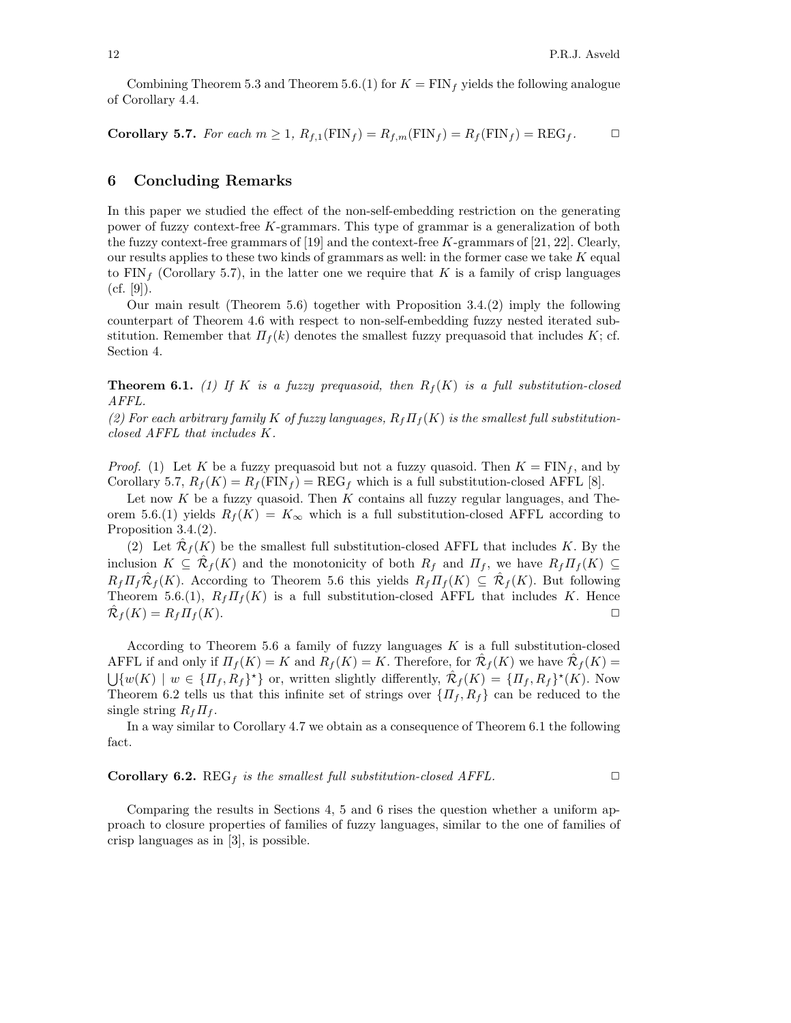Combining Theorem 5.3 and Theorem 5.6.(1) for  $K = \text{FIN}_f$  yields the following analogue of Corollary 4.4.

**Corollary 5.7.** For each 
$$
m \ge 1
$$
,  $R_{f,1}(\text{FIN}_f) = R_{f,m}(\text{FIN}_f) = R_f(\text{FIN}_f) = \text{REG}_f$ .  $\square$ 

## 6 Concluding Remarks

In this paper we studied the effect of the non-self-embedding restriction on the generating power of fuzzy context-free K-grammars. This type of grammar is a generalization of both the fuzzy context-free grammars of [19] and the context-free K-grammars of [21, 22]. Clearly, our results applies to these two kinds of grammars as well: in the former case we take  $K$  equal to  $\text{FIN}_f$  (Corollary 5.7), in the latter one we require that K is a family of crisp languages  $(cf. [9])$ .

Our main result (Theorem 5.6) together with Proposition 3.4.(2) imply the following counterpart of Theorem 4.6 with respect to non-self-embedding fuzzy nested iterated substitution. Remember that  $\Pi_f(k)$  denotes the smallest fuzzy prequasoid that includes K; cf. Section 4.

**Theorem 6.1.** (1) If K is a fuzzy prequasoid, then  $R_f(K)$  is a full substitution-closed AFFL.

(2) For each arbitrary family K of fuzzy languages,  $R_f \Pi_f(K)$  is the smallest full substitutionclosed AFFL that includes K.

*Proof.* (1) Let K be a fuzzy prequasoid but not a fuzzy quasoid. Then  $K = \text{FIN}_f$ , and by Corollary 5.7,  $R_f(K) = R_f(\text{FIN}_f) = \text{REG}_f$  which is a full substitution-closed AFFL [8].

Let now  $K$  be a fuzzy quasoid. Then  $K$  contains all fuzzy regular languages, and Theorem 5.6.(1) yields  $R_f(K) = K_{\infty}$  which is a full substitution-closed AFFL according to Proposition 3.4.(2).

(2) Let  $\hat{\mathcal{R}}_f(K)$  be the smallest full substitution-closed AFFL that includes K. By the inclusion  $K \subseteq \hat{\mathcal{R}}_f(K)$  and the monotonicity of both  $R_f$  and  $\Pi_f$ , we have  $R_f \Pi_f(K) \subseteq$  $R_f \prod_f \hat{\mathcal{R}}_f(K)$ . According to Theorem 5.6 this yields  $R_f \prod_f(K) \subseteq \hat{\mathcal{R}}_f(K)$ . But following Theorem 5.6.(1),  $R_f \Pi_f(K)$  is a full substitution-closed AFFL that includes K. Hence  $\hat{\mathcal{R}}_f(K) = R_f \Pi_f(K).$ 

According to Theorem 5.6 a family of fuzzy languages  $K$  is a full substitution-closed AFFL if and only if  $\Pi_f(K) = K$  and  $R_f(K) = K$ . Therefore, for  $\hat{\mathcal{R}}_f(K)$  we have  $\hat{\mathcal{R}}_f(K) =$  $\bigcup \{w(K) \mid w \in \{\Pi_f, R_f\}^{\star}\}\$  or, written slightly differently,  $\hat{\mathcal{R}}_f(K) = \{\Pi_f, R_f\}^{\star}(K)$ . Now Theorem 6.2 tells us that this infinite set of strings over  $\{ \Pi_f, R_f \}$  can be reduced to the single string  $R_f \Pi_f$ .

In a way similar to Corollary 4.7 we obtain as a consequence of Theorem 6.1 the following fact.

**Corollary 6.2.** REG<sub>f</sub> is the smallest full substitution-closed AFFL.  $\Box$ 

Comparing the results in Sections 4, 5 and 6 rises the question whether a uniform approach to closure properties of families of fuzzy languages, similar to the one of families of crisp languages as in [3], is possible.